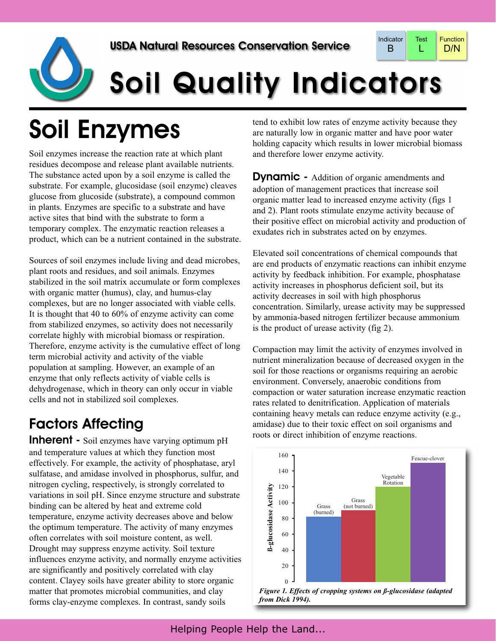

# Soil Quality Indicators

## Soil Enzymes

Soil enzymes increase the reaction rate at which plant residues decompose and release plant available nutrients. The substance acted upon by a soil enzyme is called the substrate. For example, glucosidase (soil enzyme) cleaves glucose from glucoside (substrate), a compound common in plants. Enzymes are specific to a substrate and have active sites that bind with the substrate to form a temporary complex. The enzymatic reaction releases a product, which can be a nutrient contained in the substrate.

Sources of soil enzymes include living and dead microbes, plant roots and residues, and soil animals. Enzymes stabilized in the soil matrix accumulate or form complexes with organic matter (humus), clay, and humus-clay complexes, but are no longer associated with viable cells. It is thought that 40 to 60% of enzyme activity can come from stabilized enzymes, so activity does not necessarily correlate highly with microbial biomass or respiration. Therefore, enzyme activity is the cumulative effect of long term microbial activity and activity of the viable population at sampling. However, an example of an enzyme that only reflects activity of viable cells is dehydrogenase, which in theory can only occur in viable cells and not in stabilized soil complexes.

### Factors Affecting

**Inherent** - Soil enzymes have varying optimum pH and temperature values at which they function most effectively. For example, the activity of phosphatase, aryl sulfatase, and amidase involved in phosphorus, sulfur, and nitrogen cycling, respectively, is strongly correlated to variations in soil pH. Since enzyme structure and substrate binding can be altered by heat and extreme cold temperature, enzyme activity decreases above and below the optimum temperature. The activity of many enzymes often correlates with soil moisture content, as well. Drought may suppress enzyme activity. Soil texture influences enzyme activity, and normally enzyme activities are significantly and positively correlated with clay content. Clayey soils have greater ability to store organic matter that promotes microbial communities, and clay forms clay-enzyme complexes. In contrast, sandy soils

tend to exhibit low rates of enzyme activity because they are naturally low in organic matter and have poor water holding capacity which results in lower microbial biomass and therefore lower enzyme activity.

**Dynamic -** Addition of organic amendments and adoption of management practices that increase soil organic matter lead to increased enzyme activity (figs 1 and 2). Plant roots stimulate enzyme activity because of their positive effect on microbial activity and production of exudates rich in substrates acted on by enzymes.

Elevated soil concentrations of chemical compounds that are end products of enzymatic reactions can inhibit enzyme activity by feedback inhibition. For example, phosphatase activity increases in phosphorus deficient soil, but its activity decreases in soil with high phosphorus concentration. Similarly, urease activity may be suppressed by ammonia-based nitrogen fertilizer because ammonium is the product of urease activity (fig 2).

Compaction may limit the activity of enzymes involved in nutrient mineralization because of decreased oxygen in the soil for those reactions or organisms requiring an aerobic environment. Conversely, anaerobic conditions from compaction or water saturation increase enzymatic reaction rates related to denitrification. Application of materials containing heavy metals can reduce enzyme activity (e.g., amidase) due to their toxic effect on soil organisms and roots or direct inhibition of enzyme reactions.